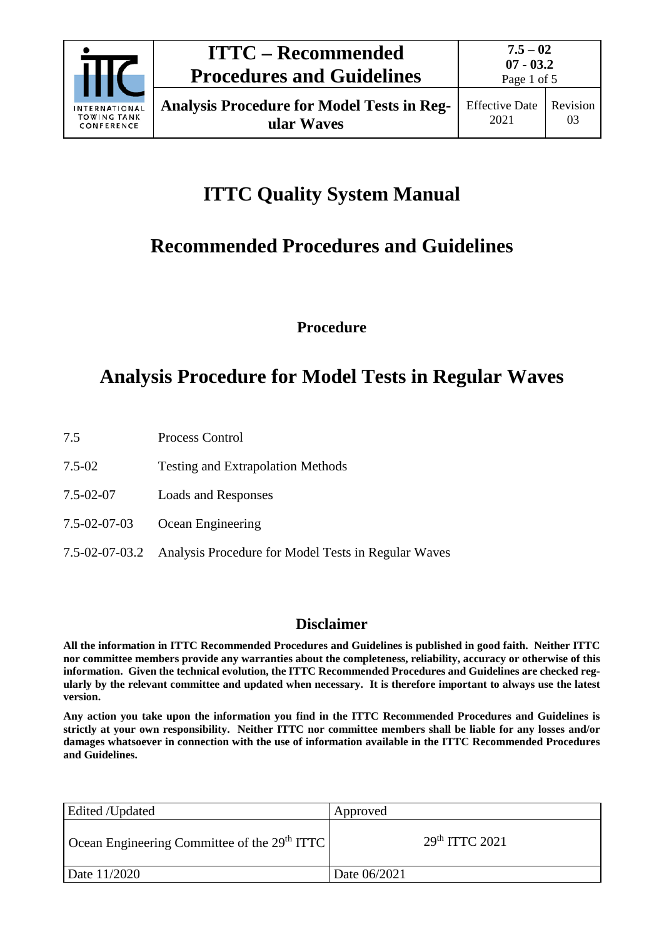

# **ITTC Quality System Manual**

# **Recommended Procedures and Guidelines**

**Procedure**

# **Analysis Procedure for Model Tests in Regular Waves**

- 7.5 Process Control
- 7.5-02 Testing and Extrapolation Methods
- 7.5-02-07 Loads and Responses
- 7.5-02-07-03 Ocean Engineering
- 7.5-02-07-03.2 Analysis Procedure for Model Tests in Regular Waves

## **Disclaimer**

**All the information in ITTC Recommended Procedures and Guidelines is published in good faith. Neither ITTC nor committee members provide any warranties about the completeness, reliability, accuracy or otherwise of this information. Given the technical evolution, the ITTC Recommended Procedures and Guidelines are checked regularly by the relevant committee and updated when necessary. It is therefore important to always use the latest version.**

**Any action you take upon the information you find in the ITTC Recommended Procedures and Guidelines is strictly at your own responsibility. Neither ITTC nor committee members shall be liable for any losses and/or damages whatsoever in connection with the use of information available in the ITTC Recommended Procedures and Guidelines.**

| Edited /Updated                                | Approved                   |
|------------------------------------------------|----------------------------|
| Ocean Engineering Committee of the $29th ITTC$ | 29 <sup>th</sup> TTTC 2021 |
| Date 11/2020                                   | Date 06/2021               |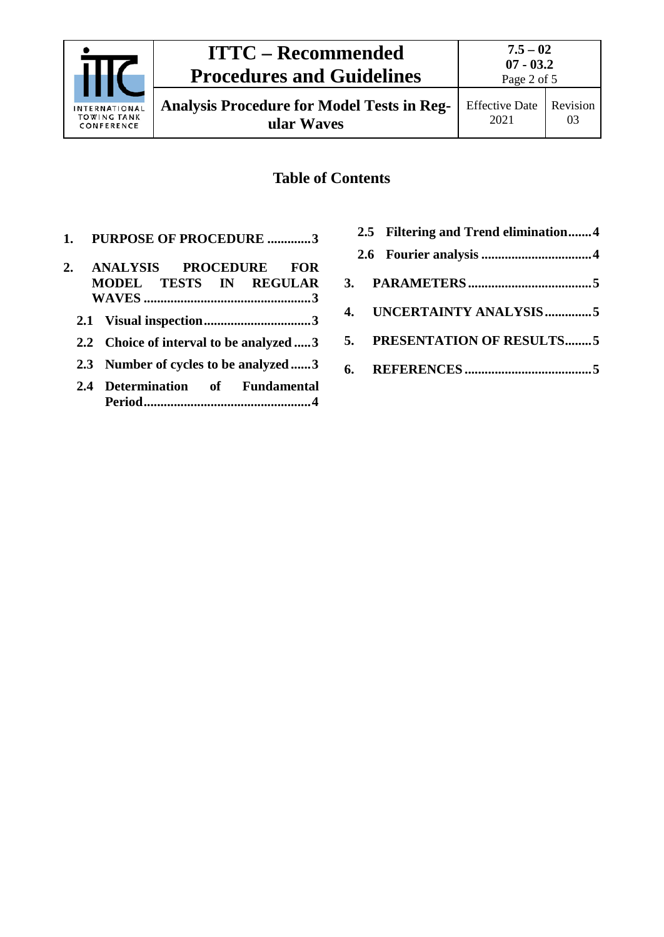

**Analysis Procedure for Model Tests in Regular Waves**

# **Table of Contents**

**1. [PURPOSE OF PROCEDURE](#page-2-0) .............3**

| 2. | ANALYSIS PROCEDURE FOR<br>MODEL TESTS IN REGULAR |
|----|--------------------------------------------------|
|    |                                                  |
|    | 2.2 Choice of interval to be analyzed 3          |
|    | 2.3 Number of cycles to be analyzed 3            |
|    | 2.4 Determination of Fundamental                 |

|  | 2.5 Filtering and Trend elimination4 |  |
|--|--------------------------------------|--|
|  |                                      |  |
|  |                                      |  |
|  | 4. UNCERTAINTY ANALYSIS5             |  |
|  | 5. PRESENTATION OF RESULTS5          |  |
|  |                                      |  |
|  |                                      |  |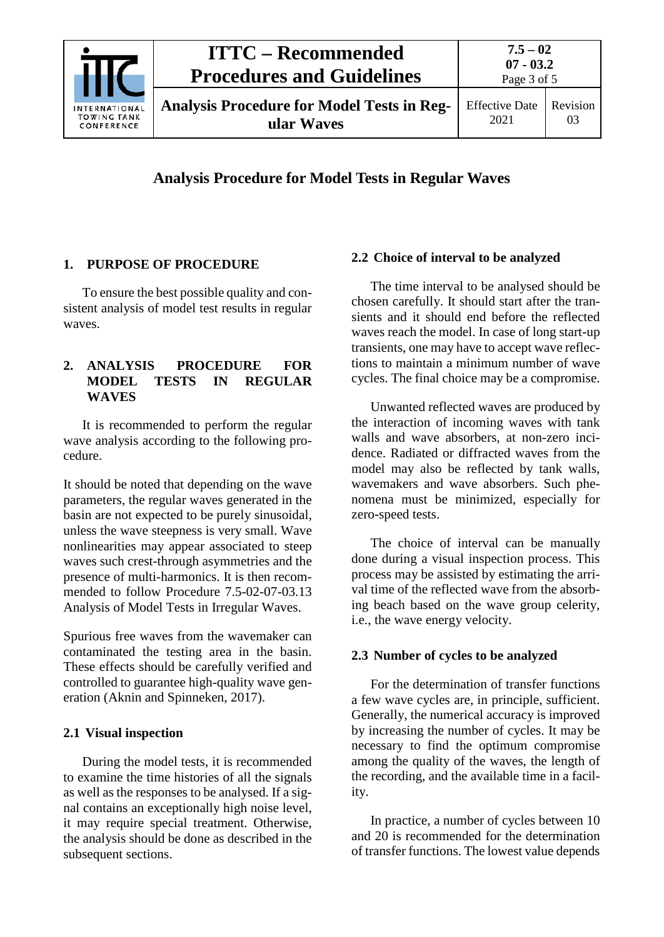

# **ITTC – Recommended Procedures and Guidelines**

03

## **Analysis Procedure for Model Tests in Regular Waves**

### <span id="page-2-0"></span>**1. PURPOSE OF PROCEDURE**

To ensure the best possible quality and consistent analysis of model test results in regular waves.

#### <span id="page-2-1"></span>**2. ANALYSIS PROCEDURE FOR MODEL TESTS IN REGULAR WAVES**

It is recommended to perform the regular wave analysis according to the following procedure.

It should be noted that depending on the wave parameters, the regular waves generated in the basin are not expected to be purely sinusoidal, unless the wave steepness is very small. Wave nonlinearities may appear associated to steep waves such crest-through asymmetries and the presence of multi-harmonics. It is then recommended to follow Procedure 7.5-02-07-03.13 Analysis of Model Tests in Irregular Waves.

Spurious free waves from the wavemaker can contaminated the testing area in the basin. These effects should be carefully verified and controlled to guarantee high-quality wave generation (Aknin and Spinneken, 2017).

### <span id="page-2-2"></span>**2.1 Visual inspection**

During the model tests, it is recommended to examine the time histories of all the signals as well as the responses to be analysed. If a signal contains an exceptionally high noise level, it may require special treatment. Otherwise, the analysis should be done as described in the subsequent sections.

### <span id="page-2-3"></span>**2.2 Choice of interval to be analyzed**

The time interval to be analysed should be chosen carefully. It should start after the transients and it should end before the reflected waves reach the model. In case of long start-up transients, one may have to accept wave reflections to maintain a minimum number of wave cycles. The final choice may be a compromise.

Unwanted reflected waves are produced by the interaction of incoming waves with tank walls and wave absorbers, at non-zero incidence. Radiated or diffracted waves from the model may also be reflected by tank walls, wavemakers and wave absorbers. Such phenomena must be minimized, especially for zero-speed tests.

The choice of interval can be manually done during a visual inspection process. This process may be assisted by estimating the arrival time of the reflected wave from the absorbing beach based on the wave group celerity, i.e., the wave energy velocity.

## <span id="page-2-4"></span>**2.3 Number of cycles to be analyzed**

For the determination of transfer functions a few wave cycles are, in principle, sufficient. Generally, the numerical accuracy is improved by increasing the number of cycles. It may be necessary to find the optimum compromise among the quality of the waves, the length of the recording, and the available time in a facility.

In practice, a number of cycles between 10 and 20 is recommended for the determination of transfer functions. The lowest value depends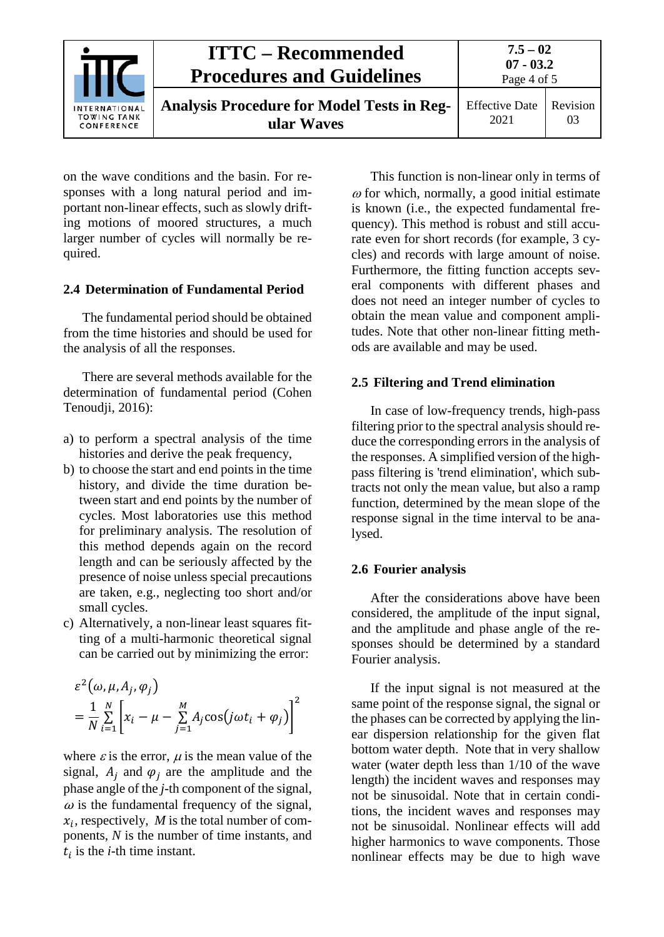|                                                   | ITTC – Recommended<br><b>Procedures and Guidelines</b>          | $7.5 - 02$<br>$07 - 03.2$<br>Page 4 of 5 |                |
|---------------------------------------------------|-----------------------------------------------------------------|------------------------------------------|----------------|
| INTERNATIONAL<br><b>TOWING TANK</b><br>CONFERENCE | <b>Analysis Procedure for Model Tests in Reg-</b><br>ular Waves | <b>Effective Date</b><br>2021            | Revision<br>03 |

on the wave conditions and the basin. For responses with a long natural period and important non-linear effects, such as slowly drifting motions of moored structures, a much larger number of cycles will normally be required.

#### <span id="page-3-0"></span>**2.4 Determination of Fundamental Period**

The fundamental period should be obtained from the time histories and should be used for the analysis of all the responses.

There are several methods available for the determination of fundamental period (Cohen Tenoudii, 2016):

- a) to perform a spectral analysis of the time histories and derive the peak frequency,
- b) to choose the start and end points in the time history, and divide the time duration between start and end points by the number of cycles. Most laboratories use this method for preliminary analysis. The resolution of this method depends again on the record length and can be seriously affected by the presence of noise unless special precautions are taken, e.g., neglecting too short and/or small cycles.
- c) Alternatively, a non-linear least squares fitting of a multi-harmonic theoretical signal can be carried out by minimizing the error:

$$
\varepsilon^2(\omega, \mu, A_j, \varphi_j)
$$
  
=  $\frac{1}{N} \sum_{i=1}^N \left[ x_i - \mu - \sum_{j=1}^M A_j \cos(j\omega t_i + \varphi_j) \right]^2$ 

where  $\varepsilon$  is the error,  $\mu$  is the mean value of the signal,  $A_i$  and  $\varphi_i$  are the amplitude and the phase angle of the *j-*th component of the signal,  $\omega$  is the fundamental frequency of the signal,  $x_i$ , respectively, *M* is the total number of components, *N* is the number of time instants, and  $t_i$  is the *i*-th time instant.

This function is non-linear only in terms of  $\omega$  for which, normally, a good initial estimate is known (i.e., the expected fundamental frequency). This method is robust and still accurate even for short records (for example, 3 cycles) and records with large amount of noise. Furthermore, the fitting function accepts several components with different phases and does not need an integer number of cycles to obtain the mean value and component amplitudes. Note that other non-linear fitting methods are available and may be used.

#### <span id="page-3-1"></span>**2.5 Filtering and Trend elimination**

In case of low-frequency trends, high-pass filtering prior to the spectral analysis should reduce the corresponding errors in the analysis of the responses. A simplified version of the highpass filtering is 'trend elimination', which subtracts not only the mean value, but also a ramp function, determined by the mean slope of the response signal in the time interval to be analysed.

#### <span id="page-3-2"></span>**2.6 Fourier analysis**

After the considerations above have been considered, the amplitude of the input signal, and the amplitude and phase angle of the responses should be determined by a standard Fourier analysis.

If the input signal is not measured at the same point of the response signal, the signal or the phases can be corrected by applying the linear dispersion relationship for the given flat bottom water depth. Note that in very shallow water (water depth less than 1/10 of the wave length) the incident waves and responses may not be sinusoidal. Note that in certain conditions, the incident waves and responses may not be sinusoidal. Nonlinear effects will add higher harmonics to wave components. Those nonlinear effects may be due to high wave